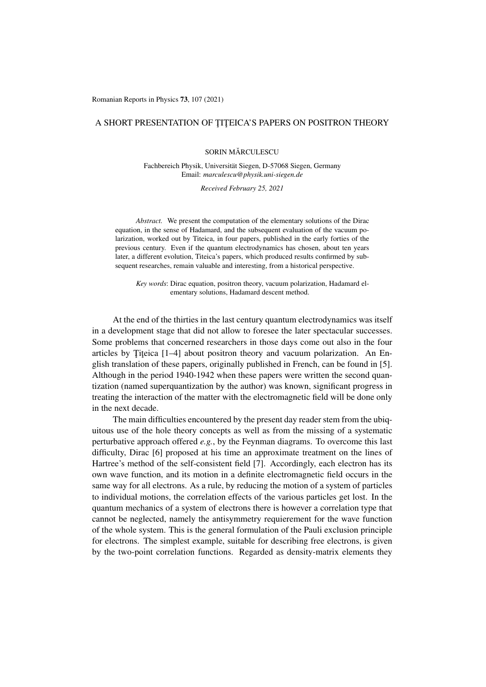Romanian Reports in Physics 73, 107 (2021)

## A SHORT PRESENTATION OF TITEICA'S PAPERS ON POSITRON THEORY

SORIN MĂRCULESCU

Fachbereich Physik, Universität Siegen, D-57068 Siegen, Germany Email: *marculescu@physik.uni-siegen.de*

*Received February 25, 2021*

*Abstract.* We present the computation of the elementary solutions of the Dirac equation, in the sense of Hadamard, and the subsequent evaluation of the vacuum polarization, worked out by Titeica, in four papers, published in the early forties of the previous century. Even if the quantum electrodynamics has chosen, about ten years later, a different evolution, Titeica's papers, which produced results confirmed by subsequent researches, remain valuable and interesting, from a historical perspective.

*Key words*: Dirac equation, positron theory, vacuum polarization, Hadamard elementary solutions, Hadamard descent method.

At the end of the thirties in the last century quantum electrodynamics was itself in a development stage that did not allow to foresee the later spectacular successes. Some problems that concerned researchers in those days come out also in the four articles by Titeica  $[1-4]$  about positron theory and vacuum polarization. An English translation of these papers, originally published in French, can be found in [5]. Although in the period 1940-1942 when these papers were written the second quantization (named superquantization by the author) was known, significant progress in treating the interaction of the matter with the electromagnetic field will be done only in the next decade.

The main difficulties encountered by the present day reader stem from the ubiquitous use of the hole theory concepts as well as from the missing of a systematic perturbative approach offered *e.g.*, by the Feynman diagrams. To overcome this last difficulty, Dirac [6] proposed at his time an approximate treatment on the lines of Hartree's method of the self-consistent field [7]. Accordingly, each electron has its own wave function, and its motion in a definite electromagnetic field occurs in the same way for all electrons. As a rule, by reducing the motion of a system of particles to individual motions, the correlation effects of the various particles get lost. In the quantum mechanics of a system of electrons there is however a correlation type that cannot be neglected, namely the antisymmetry requierement for the wave function of the whole system. This is the general formulation of the Pauli exclusion principle for electrons. The simplest example, suitable for describing free electrons, is given by the two-point correlation functions. Regarded as density-matrix elements they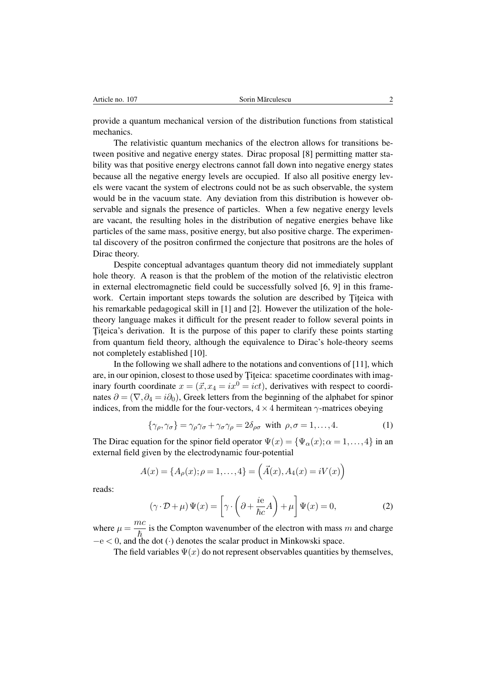provide a quantum mechanical version of the distribution functions from statistical mechanics.

The relativistic quantum mechanics of the electron allows for transitions between positive and negative energy states. Dirac proposal [8] permitting matter stability was that positive energy electrons cannot fall down into negative energy states because all the negative energy levels are occupied. If also all positive energy levels were vacant the system of electrons could not be as such observable, the system would be in the vacuum state. Any deviation from this distribution is however observable and signals the presence of particles. When a few negative energy levels are vacant, the resulting holes in the distribution of negative energies behave like particles of the same mass, positive energy, but also positive charge. The experimental discovery of the positron confirmed the conjecture that positrons are the holes of Dirac theory.

Despite conceptual advantages quantum theory did not immediately supplant hole theory. A reason is that the problem of the motion of the relativistic electron in external electromagnetic field could be successfully solved [6, 9] in this framework. Certain important steps towards the solution are described by Titeica with his remarkable pedagogical skill in [1] and [2]. However the utilization of the holetheory language makes it difficult for the present reader to follow several points in Titeica's derivation. It is the purpose of this paper to clarify these points starting from quantum field theory, although the equivalence to Dirac's hole-theory seems not completely established [10].

In the following we shall adhere to the notations and conventions of [11], which are, in our opinion, closest to those used by Titeica: spacetime coordinates with imaginary fourth coordinate  $x = (\vec{x}, x_4 = ix^0 = ict)$ , derivatives with respect to coordinates  $\partial = (\nabla, \partial_4 = i\partial_0)$ , Greek letters from the beginning of the alphabet for spinor indices, from the middle for the four-vectors,  $4 \times 4$  hermitean  $\gamma$ -matrices obeying

$$
\{\gamma_{\rho},\gamma_{\sigma}\} = \gamma_{\rho}\gamma_{\sigma} + \gamma_{\sigma}\gamma_{\rho} = 2\delta_{\rho\sigma} \text{ with } \rho,\sigma = 1,\ldots,4. \tag{1}
$$

The Dirac equation for the spinor field operator  $\Psi(x) = {\Psi_{\alpha}(x); \alpha = 1, ..., 4}$  in an external field given by the electrodynamic four-potential

$$
A(x) = \{A_{\rho}(x); \rho = 1, ..., 4\} = (\vec{A}(x), A_4(x) = iV(x))
$$

reads:

$$
(\gamma \cdot \mathcal{D} + \mu) \Psi(x) = \left[ \gamma \cdot \left( \partial + \frac{ie}{\hbar c} A \right) + \mu \right] \Psi(x) = 0, \tag{2}
$$

where  $\mu = \frac{mc}{\hbar}$  is the Compton wavenumber of the electron with mass *m* and charge  $-e < 0$ , and the dot (·) denotes the scalar product in Minkowski space.

The field variables  $\Psi(x)$  do not represent observables quantities by themselves,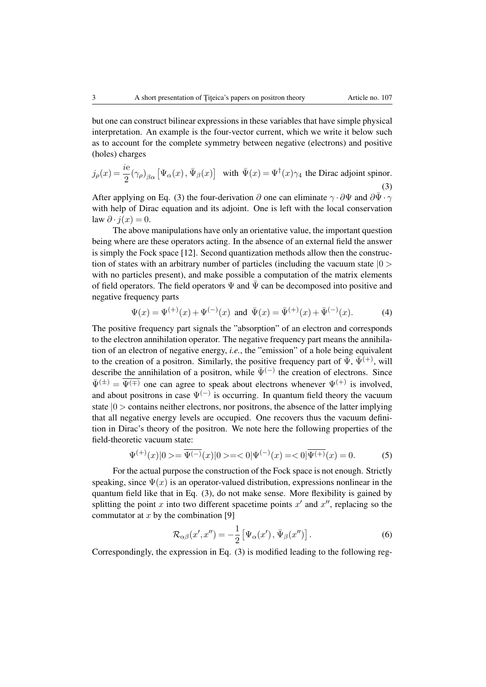but one can construct bilinear expressions in these variables that have simple physical interpretation. An example is the four-vector current, which we write it below such as to account for the complete symmetry between negative (electrons) and positive (holes) charges

$$
j_{\rho}(x) = \frac{ie}{2} (\gamma_{\rho})_{\beta\alpha} \left[ \Psi_{\alpha}(x), \bar{\Psi}_{\beta}(x) \right] \text{ with } \bar{\Psi}(x) = \Psi^{\dagger}(x)\gamma_4 \text{ the Dirac adjoint spinor.}
$$
\n(3)

After applying on Eq. (3) the four-derivation  $\partial$  one can eliminate  $\gamma \cdot \partial \Psi$  and  $\partial \bar{\Psi} \cdot \gamma$ with help of Dirac equation and its adjoint. One is left with the local conservation law  $\partial \cdot i(x)=0$ .

The above manipulations have only an orientative value, the important question being where are these operators acting. In the absence of an external field the answer is simply the Fock space [12]. Second quantization methods allow then the construction of states with an arbitrary number of particles (including the vacuum state *|*0 *>* with no particles present), and make possible a computation of the matrix elements of field operators. The field operators  $\Psi$  and  $\overline{\Psi}$  can be decomposed into positive and negative frequency parts

$$
\Psi(x) = \Psi^{(+)}(x) + \Psi^{(-)}(x) \text{ and } \bar{\Psi}(x) = \bar{\Psi}^{(+)}(x) + \bar{\Psi}^{(-)}(x). \tag{4}
$$

The positive frequency part signals the "absorption" of an electron and corresponds to the electron annihilation operator. The negative frequency part means the annihilation of an electron of negative energy, *i.e.*, the "emission" of a hole being equivalent to the creation of a positron. Similarly, the positive frequency part of  $\bar{\Psi}$ ,  $\bar{\Psi}^{(+)}$ , will describe the annihilation of a positron, while  $\bar{\Psi}^{(-)}$  the creation of electrons. Since  $\bar{\Psi}^{(\pm)} = \bar{\Psi}^{(\mp)}$  one can agree to speak about electrons whenever  $\Psi^{(+)}$  is involved, and about positrons in case  $\Psi^{(-)}$  is occurring. In quantum field theory the vacuum state *|*0 *>* contains neither electrons, nor positrons, the absence of the latter implying that all negative energy levels are occupied. One recovers thus the vacuum definition in Dirac's theory of the positron. We note here the following properties of the field-theoretic vacuum state:

$$
\Psi^{(+)}(x)|0\rangle = \overline{\Psi^{(-)}}(x)|0\rangle = \langle 0|\Psi^{(-)}(x) = \langle 0|\overline{\Psi^{(+)}}(x) = 0. \tag{5}
$$

For the actual purpose the construction of the Fock space is not enough. Strictly speaking, since  $\Psi(x)$  is an operator-valued distribution, expressions nonlinear in the quantum field like that in Eq. (3), do not make sense. More flexibility is gained by splitting the point *x* into two different spacetime points  $x<sup>0</sup>$  and  $x<sup>0</sup>$ , replacing so the commutator at *x* by the combination [9]

$$
\mathcal{R}_{\alpha\beta}(x',x'') = -\frac{1}{2} \left[ \Psi_{\alpha}(x'), \bar{\Psi}_{\beta}(x'') \right]. \tag{6}
$$

Correspondingly, the expression in Eq. (3) is modified leading to the following reg-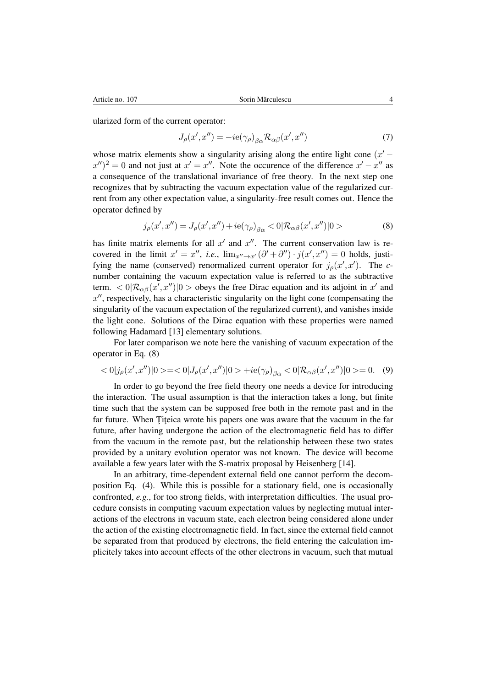ularized form of the current operator:

$$
J_{\rho}(x',x'') = -ie(\gamma_{\rho})_{\beta\alpha} \mathcal{R}_{\alpha\beta}(x',x'')
$$
\n(7)

whose matrix elements show a singularity arising along the entire light cone  $(x' (x'')^2 = 0$  and not just at  $x' = x''$ . Note the occurence of the difference  $x' - x''$  as a consequence of the translational invariance of free theory. In the next step one recognizes that by subtracting the vacuum expectation value of the regularized current from any other expectation value, a singularity-free result comes out. Hence the operator defined by

$$
j_{\rho}(x',x'') = J_{\rho}(x',x'') + ie(\gamma_{\rho})_{\beta\alpha} < 0 | \mathcal{R}_{\alpha\beta}(x',x'') | 0 >
$$
 (8)

has finite matrix elements for all  $x<sup>0</sup>$  and  $x<sup>0</sup>$ . The current conservation law is recovered in the limit  $x' = x''$ , *i.e.*,  $\lim_{x'' \to x'} (\partial' + \partial'') \cdot j(x', x'') = 0$  holds, justifying the name (conserved) renormalized current operator for  $j_{\rho}(x',x')$ . The *c*number containing the vacuum expectation value is referred to as the subtractive term.  $\langle 0 | \mathcal{R}_{\alpha\beta}(x',x'') | 0 \rangle$  obeys the free Dirac equation and its adjoint in *x'* and  $x$ <sup> $\prime\prime$ </sup>, respectively, has a characteristic singularity on the light cone (compensating the singularity of the vacuum expectation of the regularized current), and vanishes inside the light cone. Solutions of the Dirac equation with these properties were named following Hadamard [13] elementary solutions.

For later comparison we note here the vanishing of vacuum expectation of the operator in Eq. (8)

$$
\langle 0|j_{\rho}(x',x'')|0\rangle = \langle 0|J_{\rho}(x',x'')|0\rangle + ie(\gamma_{\rho})_{\beta\alpha} \langle 0|\mathcal{R}_{\alpha\beta}(x',x'')|0\rangle = 0. \quad (9)
$$

In order to go beyond the free field theory one needs a device for introducing the interaction. The usual assumption is that the interaction takes a long, but finite time such that the system can be supposed free both in the remote past and in the far future. When Titeica wrote his papers one was aware that the vacuum in the far future, after having undergone the action of the electromagnetic field has to differ from the vacuum in the remote past, but the relationship between these two states provided by a unitary evolution operator was not known. The device will become available a few years later with the S-matrix proposal by Heisenberg [14].

In an arbitrary, time-dependent external field one cannot perform the decomposition Eq. (4). While this is possible for a stationary field, one is occasionally confronted, *e.g.*, for too strong fields, with interpretation difficulties. The usual procedure consists in computing vacuum expectation values by neglecting mutual interactions of the electrons in vacuum state, each electron being considered alone under the action of the existing electromagnetic field. In fact, since the external field cannot be separated from that produced by electrons, the field entering the calculation implicitely takes into account effects of the other electrons in vacuum, such that mutual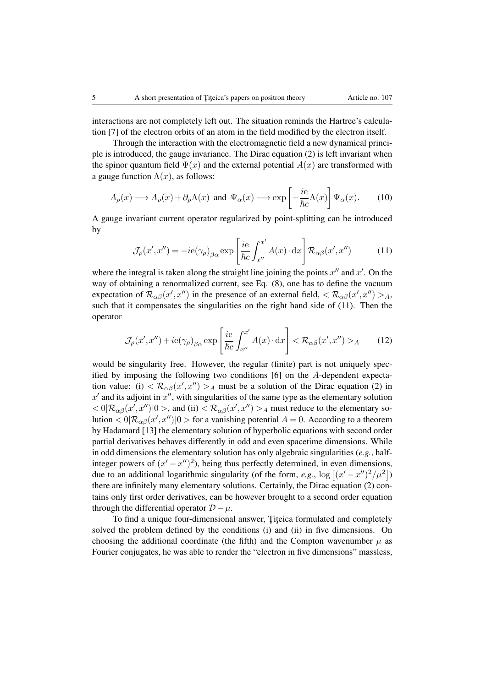interactions are not completely left out. The situation reminds the Hartree's calculation [7] of the electron orbits of an atom in the field modified by the electron itself.

Through the interaction with the electromagnetic field a new dynamical principle is introduced, the gauge invariance. The Dirac equation (2) is left invariant when the spinor quantum field  $\Psi(x)$  and the external potential  $A(x)$  are transformed with a gauge function  $\Lambda(x)$ , as follows:

$$
A_{\rho}(x) \longrightarrow A_{\rho}(x) + \partial_{\rho} \Lambda(x) \text{ and } \Psi_{\alpha}(x) \longrightarrow \exp\left[-\frac{ie}{\hbar c}\Lambda(x)\right] \Psi_{\alpha}(x). \tag{10}
$$

A gauge invariant current operator regularized by point-splitting can be introduced by

$$
\mathcal{J}_{\rho}(x',x'') = -ie(\gamma_{\rho})_{\beta\alpha} \exp\left[\frac{ie}{\hbar c} \int_{x''}^{x'} A(x) \cdot dx\right] \mathcal{R}_{\alpha\beta}(x',x'') \tag{11}
$$

where the integral is taken along the straight line joining the points  $x''$  and  $x'$ . On the way of obtaining a renormalized current, see Eq. (8), one has to define the vacuum expectation of  $\mathcal{R}_{\alpha\beta}(x',x'')$  in the presence of an external field,  $\langle \mathcal{R}_{\alpha\beta}(x',x'') \rangle_A$ , such that it compensates the singularities on the right hand side of (11). Then the operator

$$
\mathcal{J}_{\rho}(x',x'') + ie(\gamma_{\rho})_{\beta\alpha} \exp\left[\frac{ie}{\hbar c} \int_{x''}^{x'} A(x) \cdot dx\right] < \mathcal{R}_{\alpha\beta}(x',x'') >_A
$$
 (12)

would be singularity free. However, the regular (finite) part is not uniquely specified by imposing the following two conditions [6] on the *A*-dependent expectation value: (i)  $\langle \mathcal{R}_{\alpha\beta}(x',x'') \rangle_A$  must be a solution of the Dirac equation (2) in  $x<sup>0</sup>$  and its adjoint in  $x<sup>0</sup>$ , with singularities of the same type as the elementary solution  $<$  0 $|\mathcal{R}_{\alpha\beta}(x',x'')|0>$ , and (ii)  $<$   $\mathcal{R}_{\alpha\beta}(x',x'')>$  *A* must reduce to the elementary solution  $\langle 0 | \mathcal{R}_{\alpha\beta}(x',x'') | 0 \rangle$  for a vanishing potential  $A = 0$ . According to a theorem by Hadamard [13] the elementary solution of hyperbolic equations with second order partial derivatives behaves differently in odd and even spacetime dimensions. While in odd dimensions the elementary solution has only algebraic singularities (*e.g.*, halfinteger powers of  $(x'-x'')^2$ , being thus perfectly determined, in even dimensions, due to an additional logarithmic singularity (of the form, *e.g.*,  $\log [(x'-x'')^2/\mu^2]$ ) there are infinitely many elementary solutions. Certainly, the Dirac equation (2) contains only first order derivatives, can be however brought to a second order equation through the differential operator  $D - \mu$ .

To find a unique four-dimensional answer, Titeica formulated and completely solved the problem defined by the conditions (i) and (ii) in five dimensions. On choosing the additional coordinate (the fifth) and the Compton wavenumber  $\mu$  as Fourier conjugates, he was able to render the "electron in five dimensions" massless,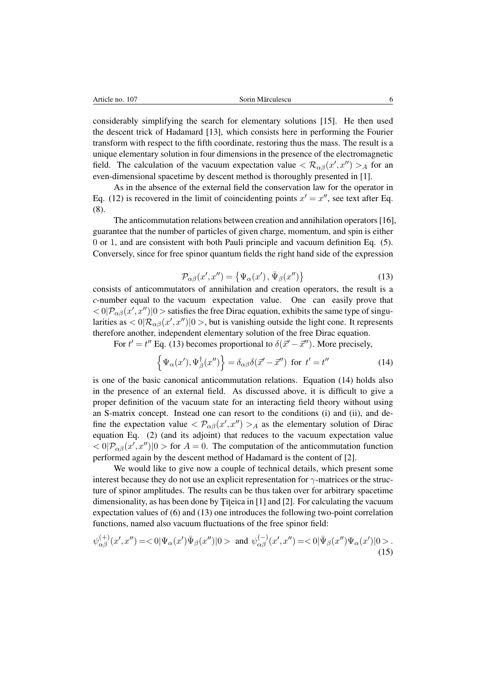considerably simplifying the search for elementary solutions [15]. He then used the descent trick of Hadamard [13], which consists here in performing the Fourier transform with respect to the fifth coordinate, restoring thus the mass. The result is a unique elementary solution in four dimensions in the presence of the electromagnetic field. The calculation of the vacuum expectation value  $\langle \mathcal{R}_{\alpha\beta}(x',x'') \rangle_{A}$  for an even-dimensional spacetime by descent method is thoroughly presented in [1].

As in the absence of the external field the conservation law for the operator in Eq. (12) is recovered in the limit of coincidenting points  $x' = x''$ , see text after Eq. (8).

The anticommutation relations between creation and annihilation operators [16], guarantee that the number of particles of given charge, momentum, and spin is either 0 or 1, and are consistent with both Pauli principle and vacuum definition Eq. (5). Conversely, since for free spinor quantum fields the right hand side of the expression

$$
\mathcal{P}_{\alpha\beta}(x',x'') = \{ \Psi_{\alpha}(x'), \bar{\Psi}_{\beta}(x'') \}
$$
\n(13)

consists of anticommutators of annihilation and creation operators, the result is a *c*-number equal to the vacuum expectation value. One can easily prove that  $\langle 0 | \mathcal{P}_{\alpha\beta}(x',x'') | 0 \rangle$  satisfies the free Dirac equation, exhibits the same type of singularities as  $\langle 0 | \mathcal{R}_{\alpha\beta}(x',x'') | 0 \rangle$ , but is vanishing outside the light cone. It represents therefore another, independent elementary solution of the free Dirac equation.

For  $t' = t''$  Eq. (13) becomes proportional to  $\delta(\vec{x}' - \vec{x}'')$ . More precisely,

$$
\left\{\Psi_{\alpha}(x'),\Psi_{\beta}^{\dagger}(x'')\right\} = \delta_{\alpha\beta}\delta(\vec{x}' - \vec{x}'') \text{ for } t' = t''
$$
\n(14)

is one of the basic canonical anticommutation relations. Equation (14) holds also in the presence of an external field. As discussed above, it is difficult to give a proper definition of the vacuum state for an interacting field theory without using an S-matrix concept. Instead one can resort to the conditions (i) and (ii), and define the expectation value  $\langle \mathcal{P}_{\alpha\beta}(x',x'') \rangle_A$  as the elementary solution of Dirac equation Eq. (2) (and its adjoint) that reduces to the vacuum expectation value  $\langle \alpha | P_{\alpha\beta}(x',x'') | 0 \rangle$  for  $A = 0$ . The computation of the anticommutation function performed again by the descent method of Hadamard is the content of [2].

We would like to give now a couple of technical details, which present some interest because they do not use an explicit representation for  $\gamma$ -matrices or the structure of spinor amplitudes. The results can be thus taken over for arbitrary spacetime dimensionality, as has been done by Titeica in  $[1]$  and  $[2]$ . For calculating the vacuum expectation values of (6) and (13) one introduces the following two-point correlation functions, named also vacuum fluctuations of the free spinor field:

$$
\psi_{\alpha\beta}^{(+)}(x',x'') = <0|\Psi_{\alpha}(x')\bar{\Psi}_{\beta}(x'')|0> \text{ and } \psi_{\alpha\beta}^{(-)}(x',x'') = <0|\bar{\Psi}_{\beta}(x'')\Psi_{\alpha}(x')|0>.
$$
\n(15)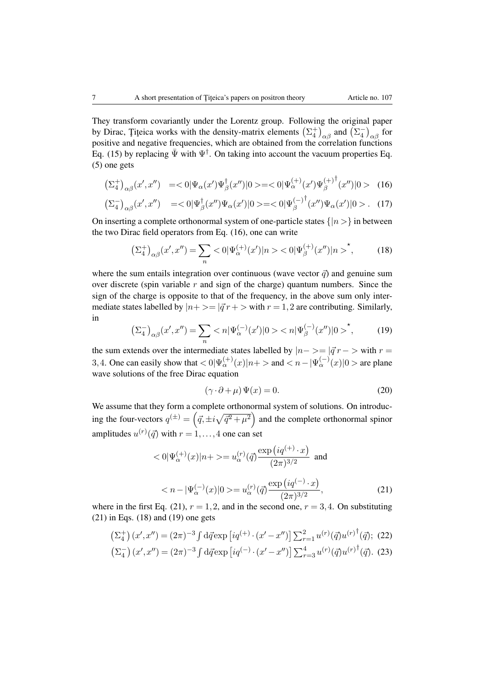They transform covariantly under the Lorentz group. Following the original paper by Dirac, Titeica works with the density-matrix elements  $(\Sigma_4^{\pm})_{\alpha\beta}$  and  $(\Sigma_4^-)_{\alpha\beta}$  for positive and negative frequencies, which are obtained from the correlation functions Eq. (15) by replacing  $\bar{\Psi}$  with  $\Psi^{\dagger}$ . On taking into account the vacuum properties Eq. (5) one gets

$$
\left(\Sigma_4^+\right)_{\alpha\beta}(x',x'') \quad = <0|\Psi_{\alpha}(x')\Psi_{\beta}^{\dagger}(x'')|0> = <0|\Psi_{\alpha}^{(+)}(x')\Psi_{\beta}^{(+)}{}^{\dagger}(x'')|0> \quad (16)
$$

$$
\left(\Sigma_4^-\right)_{\alpha\beta}(x',x'') \quad = <0|\Psi_{\beta}^{\dagger}(x'')\Psi_{\alpha}(x')|0> = <0|\Psi_{\beta}^{(-)}{}^{\dagger}(x'')\Psi_{\alpha}(x')|0> . \tag{17}
$$

On inserting a complete orthonormal system of one-particle states  $\{|n\rangle\}$  in between the two Dirac field operators from Eq. (16), one can write

$$
\left(\Sigma_4^+\right)_{\alpha\beta}(x',x'') = \sum_n < 0 \, |\Psi_\alpha^{(+)}(x')|n > < 0 \, |\Psi_\beta^{(+)}(x'')|n >^\star,\tag{18}
$$

where the sum entails integration over continuous (wave vector  $\vec{q}$ ) and genuine sum over discrete (spin variable *r* and sign of the charge) quantum numbers. Since the sign of the charge is opposite to that of the frequency, in the above sum only intermediate states labelled by  $|n+ \rangle = |q^r r| > w$  ith  $r = 1, 2$  are contributing. Similarly, in

$$
\left(\Sigma_4^-\right)_{\alpha\beta}(x',x'') = \sum_n < n|\Psi_\alpha^{(-)}(x')|0 > < n|\Psi_\beta^{(-)}(x'')|0 >^\star,\tag{19}
$$

the sum extends over the intermediate states labelled by  $|n-\rangle = |\vec{q}|/r - \rangle$  with  $r =$ 3, 4. One can easily show that  $\langle 0 | \Psi_{\alpha}^{(+)}(x) | n + \rangle$  and  $\langle n - | \Psi_{\alpha}^{(-)}(x) | 0 \rangle$  are plane wave solutions of the free Dirac equation

$$
(\gamma \cdot \partial + \mu) \Psi(x) = 0. \tag{20}
$$

We assume that they form a complete orthonormal system of solutions. On introducing the four-vectors  $q^{(\pm)} = (\vec{q}, \pm i\sqrt{\vec{q}^2 + \mu^2})$  and the complete orthonormal spinor amplitudes  $u^{(r)}(\vec{q})$  with  $r = 1, \ldots, 4$  one can set

$$
\langle 0|\Psi_{\alpha}^{(+)}(x)|n+\rangle = u_{\alpha}^{(r)}(\vec{q})\frac{\exp(iq^{(+)}\cdot x)}{(2\pi)^{3/2}} \text{ and}
$$

$$
\langle n-|\Psi_{\alpha}^{(-)}(x)|0\rangle = u_{\alpha}^{(r)}(\vec{q})\frac{\exp(iq^{(-)}\cdot x)}{(2\pi)^{3/2}},
$$
(21)

where in the first Eq. (21),  $r = 1, 2$ , and in the second one,  $r = 3, 4$ . On substituting  $(21)$  in Eqs.  $(18)$  and  $(19)$  one gets

$$
\left(\Sigma_{4}^{+}\right)(x',x'') = (2\pi)^{-3} \int d\vec{q} \exp\left[iq^{(+)} \cdot (x'-x'')\right] \sum_{r=1}^{2} u^{(r)}(\vec{q}) u^{(r)^\dagger}(\vec{q});
$$
 (22)  

$$
\left(\Sigma_{4}^{-}\right)(x',x'') = (2\pi)^{-3} \int d\vec{q} \exp\left[iq^{(-)} \cdot (x'-x'')\right] \sum_{r=3}^{4} u^{(r)}(\vec{q}) u^{(r)^\dagger}(\vec{q}).
$$
 (23)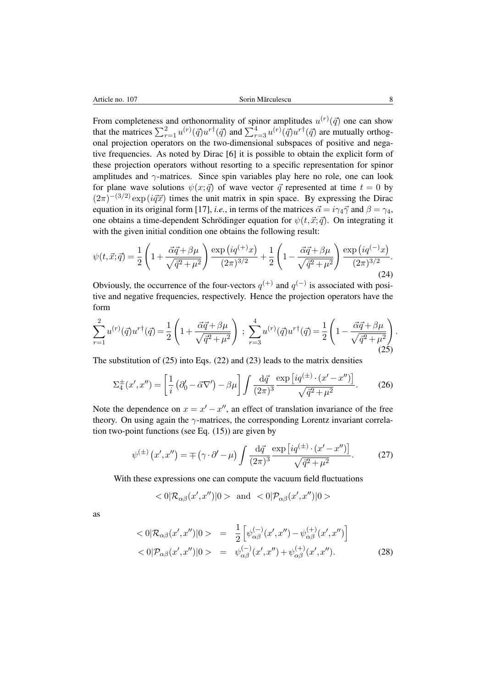From completeness and orthonormality of spinor amplitudes  $u^{(r)}(\vec{q})$  one can show that the matrices  $\sum_{r=1}^{2} u^{(r)}(\vec{q}) u^{r \dagger}(\vec{q})$  and  $\sum_{r=3}^{4} u^{(r)}(\vec{q}) u^{r \dagger}(\vec{q})$  are mutually orthogonal projection operators on the two-dimensional subspaces of positive and negative frequencies. As noted by Dirac [6] it is possible to obtain the explicit form of these projection operators without resorting to a specific representation for spinor amplitudes and  $\gamma$ -matrices. Since spin variables play here no role, one can look for plane wave solutions  $\psi(x;\vec{q})$  of wave vector  $\vec{q}$  represented at time  $t = 0$  by  $(2\pi)^{-(3/2)}$  exp ( $i\vec{q}\vec{x}$ ) times the unit matrix in spin space. By expressing the Dirac equation in its original form [17], *i.e.*, in terms of the matrices  $\vec{\alpha} = i\gamma_4 \vec{\gamma}$  and  $\beta = \gamma_4$ , one obtains a time-dependent Schrödinger equation for  $\psi(t,\vec{x};\vec{q})$ . On integrating it with the given initial condition one obtains the following result:

$$
\psi(t, \vec{x}; \vec{q}) = \frac{1}{2} \left( 1 + \frac{\vec{\alpha}\vec{q} + \beta\mu}{\sqrt{\vec{q}^2 + \mu^2}} \right) \frac{\exp(iq^{(+)}x)}{(2\pi)^{3/2}} + \frac{1}{2} \left( 1 - \frac{\vec{\alpha}\vec{q} + \beta\mu}{\sqrt{\vec{q}^2 + \mu^2}} \right) \frac{\exp(iq^{(-)}x)}{(2\pi)^{3/2}}.
$$
\n(24)

Obviously, the occurrence of the four-vectors  $q^{(+)}$  and  $q^{(-)}$  is associated with positive and negative frequencies, respectively. Hence the projection operators have the form

$$
\sum_{r=1}^{2} u^{(r)}(\vec{q}) u^{r\dagger}(\vec{q}) = \frac{1}{2} \left( 1 + \frac{\vec{\alpha}\vec{q} + \beta\mu}{\sqrt{\vec{q}^2 + \mu^2}} \right) ; \sum_{r=3}^{4} u^{(r)}(\vec{q}) u^{r\dagger}(\vec{q}) = \frac{1}{2} \left( 1 - \frac{\vec{\alpha}\vec{q} + \beta\mu}{\sqrt{\vec{q}^2 + \mu^2}} \right). \tag{25}
$$

The substitution of  $(25)$  into Eqs.  $(22)$  and  $(23)$  leads to the matrix densities

$$
\Sigma_4^{\pm}(x',x'') = \left[\frac{1}{i}\left(\partial_0' - \vec{\alpha}\nabla'\right) - \beta\mu\right] \int \frac{\mathrm{d}\vec{q}}{(2\pi)^3} \frac{\exp\left[iq^{(\pm)}\cdot(x'-x'')\right]}{\sqrt{\vec{q}^2 + \mu^2}}.\tag{26}
$$

Note the dependence on  $x = x' - x''$ , an effect of translation invariance of the free theory. On using again the  $\gamma$ -matrices, the corresponding Lorentz invariant correlation two-point functions (see Eq.  $(15)$ ) are given by

$$
\psi^{(\pm)}(x',x'') = \mp (\gamma \cdot \partial' - \mu) \int \frac{\mathrm{d}\vec{q}}{(2\pi)^3} \frac{\exp[iq^{(\pm)} \cdot (x' - x'')]}{\sqrt{\vec{q}^2 + \mu^2}}.
$$
 (27)

With these expressions one can compute the vacuum field fluctuations

$$
<0|\mathcal{R}_{\alpha\beta}(x',x'')|0> \text{ and } <0|\mathcal{P}_{\alpha\beta}(x',x'')|0>
$$

as

$$
\langle 0|\mathcal{R}_{\alpha\beta}(x',x'')|0\rangle = \frac{1}{2} \Big[ \psi_{\alpha\beta}^{(-)}(x',x'') - \psi_{\alpha\beta}^{(+)}(x',x'') \Big] \langle 0|\mathcal{P}_{\alpha\beta}(x',x'')|0\rangle = \psi_{\alpha\beta}^{(-)}(x',x'') + \psi_{\alpha\beta}^{(+)}(x',x'').
$$
\n(28)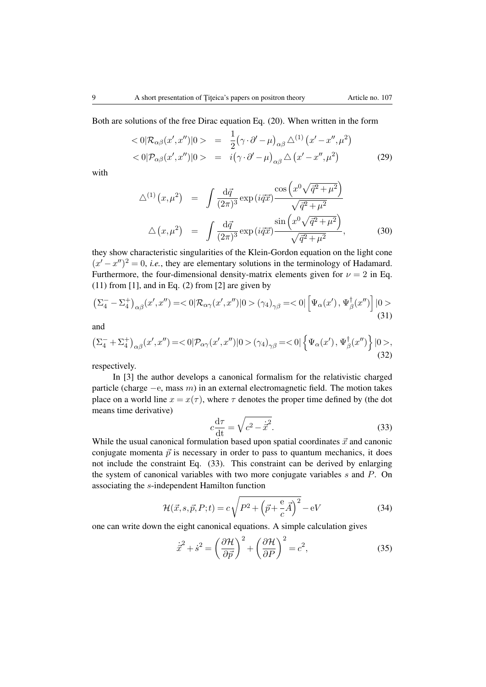Both are solutions of the free Dirac equation Eq. (20). When written in the form

$$
\langle 0|\mathcal{R}_{\alpha\beta}(x',x'')|0\rangle = \frac{1}{2} (\gamma \cdot \partial' - \mu)_{\alpha\beta} \triangle^{(1)} (x'-x'',\mu^2)
$$
  

$$
\langle 0|\mathcal{P}_{\alpha\beta}(x',x'')|0\rangle = i(\gamma \cdot \partial' - \mu)_{\alpha\beta} \triangle (x'-x'',\mu^2)
$$
(29)

with

$$
\Delta^{(1)}(x,\mu^2) = \int \frac{\mathrm{d}\vec{q}}{(2\pi)^3} \exp(i\vec{q}\vec{x}) \frac{\cos\left(x^0 \sqrt{\vec{q}^2 + \mu^2}\right)}{\sqrt{\vec{q}^2 + \mu^2}}
$$

$$
\Delta(x,\mu^2) = \int \frac{\mathrm{d}\vec{q}}{(2\pi)^3} \exp(i\vec{q}\vec{x}) \frac{\sin\left(x^0 \sqrt{\vec{q}^2 + \mu^2}\right)}{\sqrt{\vec{q}^2 + \mu^2}},
$$
(30)

they show characteristic singularities of the Klein-Gordon equation on the light cone  $(x'-x'')^2 = 0$ , *i.e.*, they are elementary solutions in the terminology of Hadamard. Furthermore, the four-dimensional density-matrix elements given for  $\nu = 2$  in Eq.  $(11)$  from [1], and in Eq. (2) from [2] are given by

$$
\left(\Sigma_4^- - \Sigma_4^+\right)_{\alpha\beta}(x',x'') = \langle 0|\mathcal{R}_{\alpha\gamma}(x',x'')|0\rangle \left(\gamma_4\right)_{\gamma\beta} = \langle 0|\left[\Psi_\alpha(x'),\Psi_\beta^\dagger(x'')\right]|0\rangle
$$
\n(31)

and

$$
\left(\Sigma_4^- + \Sigma_4^+\right)_{\alpha\beta}(x',x'') = <0|\mathcal{P}_{\alpha\gamma}(x',x'')|0>(\gamma_4)_{\gamma\beta} = <0|\left\{\Psi_{\alpha}(x'),\Psi_{\beta}^{\dagger}(x'')\right\}|0>(32)
$$

respectively.

In [3] the author develops a canonical formalism for the relativistic charged particle (charge  $-e$ , mass  $m$ ) in an external electromagnetic field. The motion takes place on a world line  $x = x(\tau)$ , where  $\tau$  denotes the proper time defined by (the dot means time derivative)

$$
c\frac{\mathrm{d}\tau}{\mathrm{d}t} = \sqrt{c^2 - \dot{\vec{x}}^2}.\tag{33}
$$

While the usual canonical formulation based upon spatial coordinates  $\vec{x}$  and canonic conjugate momenta  $\vec{p}$  is necessary in order to pass to quantum mechanics, it does not include the constraint Eq. (33). This constraint can be derived by enlarging the system of canonical variables with two more conjugate variables *s* and *P*. On associating the *s*-independent Hamilton function

$$
\mathcal{H}(\vec{x}, s, \vec{p}, P; t) = c\sqrt{P^2 + \left(\vec{p} + \frac{e}{c}\vec{A}\right)^2} - eV\tag{34}
$$

one can write down the eight canonical equations. A simple calculation gives

$$
\dot{\vec{x}}^2 + \dot{s}^2 = \left(\frac{\partial \mathcal{H}}{\partial \vec{p}}\right)^2 + \left(\frac{\partial \mathcal{H}}{\partial P}\right)^2 = c^2,\tag{35}
$$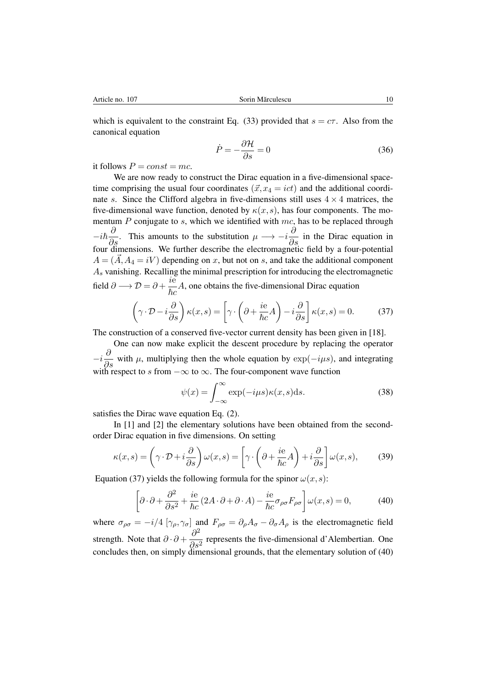which is equivalent to the constraint Eq. (33) provided that  $s = c\tau$ . Also from the canonical equation

$$
\dot{P} = -\frac{\partial \mathcal{H}}{\partial s} = 0\tag{36}
$$

it follows  $P = const = mc$ .

We are now ready to construct the Dirac equation in a five-dimensional spacetime comprising the usual four coordinates  $(\vec{x}, x_4 = ict)$  and the additional coordinate *s*. Since the Clifford algebra in five-dimensions still uses  $4 \times 4$  matrices, the five-dimensional wave function, denoted by  $\kappa(x,s)$ , has four components. The momentum *P* conjugate to *s*, which we identified with *mc*, has to be replaced through  $-i\hbar\frac{\partial}{\partial s}$ . This amounts to the substitution  $\mu \longrightarrow -i\frac{\partial}{\partial s}$  in the Dirac equation in four dimensions. We further describe the electromagnetic field by a four-potential  $A = (\vec{A}, A_4 = iV)$  depending on *x*, but not on *s*, and take the additional component *A<sup>s</sup>* vanishing. Recalling the minimal prescription for introducing the electromagnetic field  $\partial \longrightarrow \mathcal{D} = \partial + \frac{ie}{\hbar c}$  $\frac{\partial}{\partial c} A$ , one obtains the five-dimensional Dirac equation

$$
\left(\gamma \cdot \mathcal{D} - i\frac{\partial}{\partial s}\right) \kappa(x, s) = \left[\gamma \cdot \left(\partial + \frac{ie}{\hbar c}A\right) - i\frac{\partial}{\partial s}\right] \kappa(x, s) = 0. \tag{37}
$$

The construction of a conserved five-vector current density has been given in [18].

One can now make explicit the descent procedure by replacing the operator  $-i\frac{\partial}{\partial s}$  with *µ*, multiplying then the whole equation by  $\exp(-i\mu s)$ , and integrating with respect to *s* from  $-\infty$  to  $\infty$ . The four-component wave function

$$
\psi(x) = \int_{-\infty}^{\infty} \exp(-i\mu s)\kappa(x, s)ds.
$$
 (38)

satisfies the Dirac wave equation Eq. (2).

In [1] and [2] the elementary solutions have been obtained from the secondorder Dirac equation in five dimensions. On setting

$$
\kappa(x,s) = \left(\gamma \cdot \mathcal{D} + i\frac{\partial}{\partial s}\right) \omega(x,s) = \left[\gamma \cdot \left(\partial + \frac{ie}{\hbar c}A\right) + i\frac{\partial}{\partial s}\right] \omega(x,s),\tag{39}
$$

Equation (37) yields the following formula for the spinor  $\omega(x, s)$ :

$$
\left[\partial \cdot \partial + \frac{\partial^2}{\partial s^2} + \frac{ie}{\hbar c} \left(2A \cdot \partial + \partial \cdot A\right) - \frac{ie}{\hbar c} \sigma_{\rho \sigma} F_{\rho \sigma}\right] \omega(x, s) = 0,\tag{40}
$$

where  $\sigma_{\rho\sigma} = -i/4 \left[ \gamma_{\rho}, \gamma_{\sigma} \right]$  and  $F_{\rho\sigma} = \partial_{\rho}A_{\sigma} - \partial_{\sigma}A_{\rho}$  is the electromagnetic field strength. Note that  $\partial \cdot \partial +$  $\partial^2$  $\frac{\delta}{\delta s^2}$  represents the five-dimensional d'Alembertian. One concludes then, on simply dimensional grounds, that the elementary solution of (40)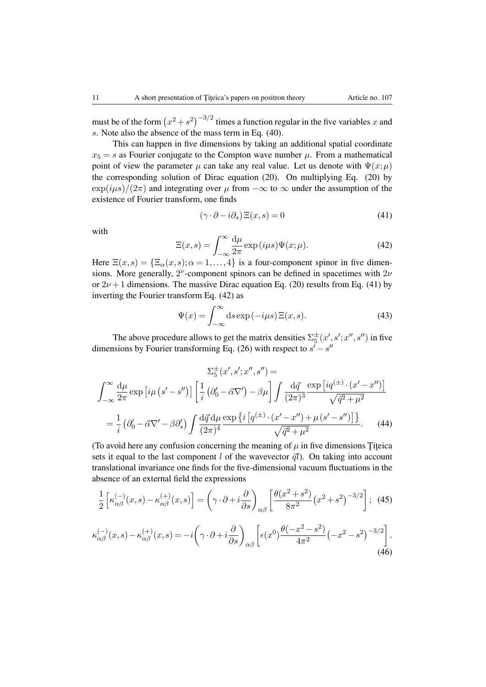must be of the form  $(x^2 + s^2)^{-3/2}$  times a function regular in the five variables *x* and *s*. Note also the absence of the mass term in Eq. (40).

This can happen in five dimensions by taking an additional spatial coordinate  $x_5 = s$  as Fourier conjugate to the Compton wave number  $\mu$ . From a mathematical point of view the parameter  $\mu$  can take any real value. Let us denote with  $\Psi(x;\mu)$ the corresponding solution of Dirac equation (20). On multiplying Eq. (20) by  $\exp(i\mu s)/(2\pi)$  and integrating over  $\mu$  from  $-\infty$  to  $\infty$  under the assumption of the existence of Fourier transform, one finds

$$
(\gamma \cdot \partial - i\partial_s) \Xi(x, s) = 0 \tag{41}
$$

with

$$
\Xi(x,s) = \int_{-\infty}^{\infty} \frac{d\mu}{2\pi} \exp(i\mu s) \Psi(x;\mu).
$$
 (42)

Here  $\Xi(x,s) = {\{\Xi_{\alpha}(x,s); \alpha = 1, ..., 4\}}$  is a four-component spinor in five dimensions. More generally,  $2^{\nu}$ -component spinors can be defined in spacetimes with  $2\nu$ or  $2\nu + 1$  dimensions. The massive Dirac equation Eq. (20) results from Eq. (41) by inverting the Fourier transform Eq. (42) as

$$
\Psi(x) = \int_{-\infty}^{\infty} ds \exp(-i\mu s) \Xi(x, s).
$$
 (43)

The above procedure allows to get the matrix densities  $\Sigma_5^{\pm}(x', s'; x'', s'')$  in five dimensions by Fourier transforming Eq. (26) with respect to  $s'-s''$ 

$$
\sum_{\alpha=0}^{\infty} \frac{d\mu}{2\pi} \exp\left[i\mu\left(s'-s''\right)\right] \left[\frac{1}{i}\left(\partial_0'-\vec{\alpha}\nabla'\right)-\beta\mu\right] \int \frac{d\vec{q}}{(2\pi)^3} \frac{\exp\left[iq^{\left(\pm\right)}\cdot\left(x'-x''\right)\right]}{\sqrt{\vec{q}^2+\mu^2}}
$$

$$
=\frac{1}{i}\left(\partial_0'-\vec{\alpha}\nabla'-\beta\partial_s'\right) \int \frac{d\vec{q}\,d\mu}{(2\pi)^4} \frac{\exp\left\{i\left[q^{\left(\pm\right)}\cdot\left(x'-x''\right)+\mu\left(s'-s''\right)\right]\right\}}{\sqrt{\vec{q}^2+\mu^2}}.\tag{44}
$$

(To avoid here any confusion concerning the meaning of  $\mu$  in five dimensions Titeica sets it equal to the last component *l* of the wavevector  $\vec{q}$ *l*). On taking into account translational invariance one finds for the five-dimensional vacuum fluctuations in the absence of an external field the expressions

$$
\frac{1}{2}\left[\kappa_{\alpha\beta}^{(-)}(x,s) - \kappa_{\alpha\beta}^{(+)}(x,s)\right] = \left(\gamma \cdot \partial + i\frac{\partial}{\partial s}\right)_{\alpha\beta} \left[\frac{\theta(x^2 + s^2)}{8\pi^2} (x^2 + s^2)^{-3/2}\right];\tag{45}
$$

$$
\kappa_{\alpha\beta}^{(-)}(x,s) - \kappa_{\alpha\beta}^{(+)}(x,s) = -i\left(\gamma \cdot \partial + i\frac{\partial}{\partial s}\right)_{\alpha\beta} \left[\epsilon(x^0) \frac{\theta(-x^2 - s^2)}{4\pi^2} \left(-x^2 - s^2\right)^{-3/2}\right].
$$
\n(46)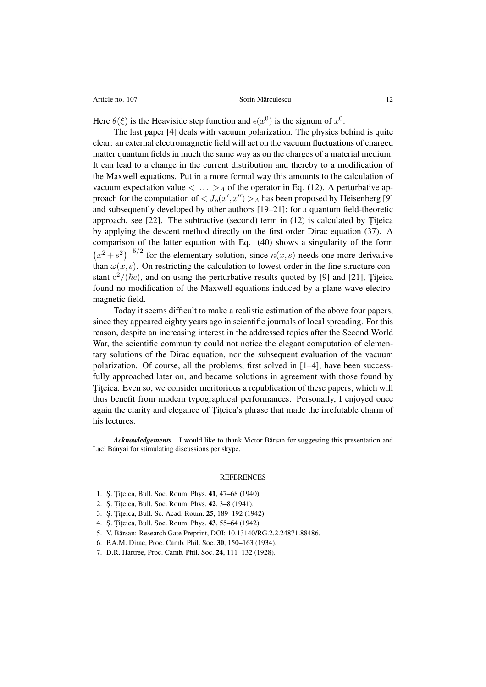Here  $\theta(\xi)$  is the Heaviside step function and  $\epsilon(x^0)$  is the signum of  $x^0$ .

The last paper [4] deals with vacuum polarization. The physics behind is quite clear: an external electromagnetic field will act on the vacuum fluctuations of charged matter quantum fields in much the same way as on the charges of a material medium. It can lead to a change in the current distribution and thereby to a modification of the Maxwell equations. Put in a more formal way this amounts to the calculation of vacuum expectation value  $\langle \ldots \rangle_A$  of the operator in Eq. (12). A perturbative approach for the computation of  $\langle J_{\rho}(x',x'') \rangle_A$  has been proposed by Heisenberg [9] and subsequently developed by other authors [19–21]; for a quantum field-theoretic approach, see  $[22]$ . The subtractive (second) term in  $(12)$  is calculated by Titeica by applying the descent method directly on the first order Dirac equation (37). A comparison of the latter equation with Eq. (40) shows a singularity of the form  $(x^2 + s^2)^{-5/2}$  for the elementary solution, since  $\kappa(x, s)$  needs one more derivative than  $\omega(x, s)$ . On restricting the calculation to lowest order in the fine structure constant  $e^2/(\hbar c)$ , and on using the perturbative results quoted by [9] and [21], Titeica found no modification of the Maxwell equations induced by a plane wave electromagnetic field.

Today it seems difficult to make a realistic estimation of the above four papers, since they appeared eighty years ago in scientific journals of local spreading. For this reason, despite an increasing interest in the addressed topics after the Second World War, the scientific community could not notice the elegant computation of elementary solutions of the Dirac equation, nor the subsequent evaluation of the vacuum polarization. Of course, all the problems, first solved in  $[1-4]$ , have been successfully approached later on, and became solutions in agreement with those found by Titeica. Even so, we consider meritorious a republication of these papers, which will thus benefit from modern typographical performances. Personally, I enjoyed once again the clarity and elegance of Titeica's phrase that made the irrefutable charm of his lectures.

*Acknowledgements.* I would like to thank Victor Bârsan for suggesting this presentation and Laci Bányai for stimulating discussions per skype.

## REFERENCES

- 1. Ş. Țițeica, Bull. Soc. Roum. Phys. 41, 47-68 (1940).
- 2. S. Titeica, Bull. Soc. Roum. Phys. 42, 3-8 (1941).
- 3. S. Titeica, Bull. Sc. Acad. Roum. 25, 189-192 (1942).
- 4. S. Titeica, Bull. Soc. Roum. Phys. 43, 55–64 (1942).
- 5. V. Barsan: Research Gate Preprint, DOI: 10.13140/RG.2.2.24871.88486. ˆ
- 6. P.A.M. Dirac, Proc. Camb. Phil. Soc. 30, 150–163 (1934).
- 7. D.R. Hartree, Proc. Camb. Phil. Soc. 24, 111–132 (1928).